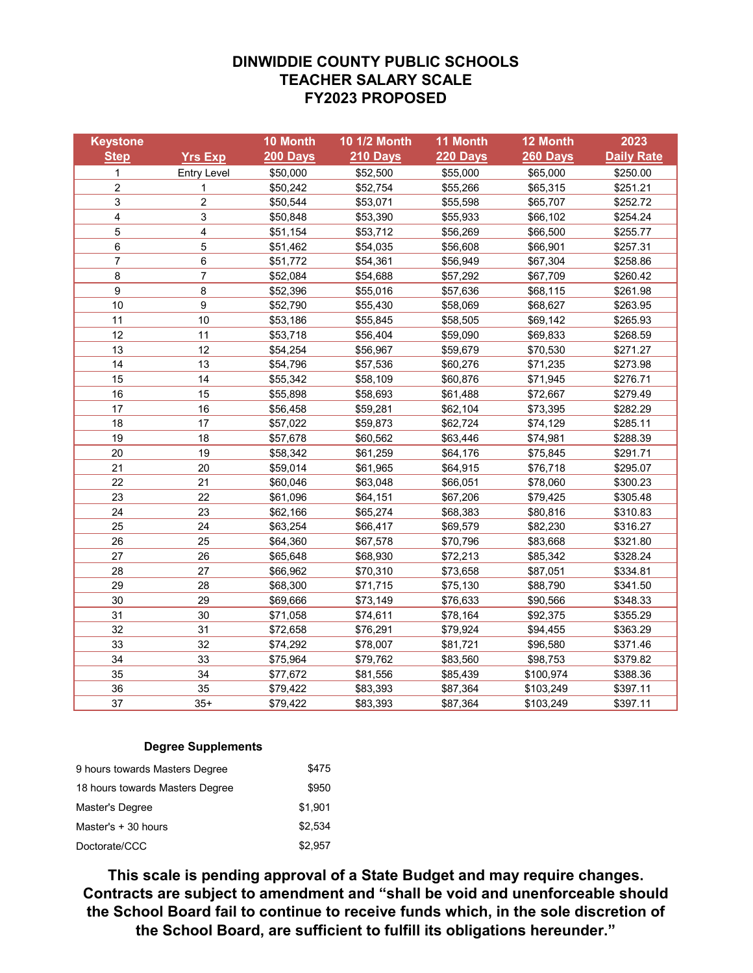## **DINWIDDIE COUNTY PUBLIC SCHOOLS TEACHER SALARY SCALE FY2023 PROPOSED**

| <b>Keystone</b> |                         | 10 Month | <b>10 1/2 Month</b> | 11 Month | 12 Month  | 2023              |
|-----------------|-------------------------|----------|---------------------|----------|-----------|-------------------|
| <b>Step</b>     | <b>Yrs Exp</b>          | 200 Days | <b>210 Days</b>     | 220 Days | 260 Days  | <b>Daily Rate</b> |
| $\mathbf{1}$    | <b>Entry Level</b>      | \$50,000 | \$52,500            | \$55,000 | \$65,000  | \$250.00          |
| 2               | 1                       | \$50,242 | \$52,754            | \$55,266 | \$65,315  | \$251.21          |
| 3               | $\overline{\mathbf{c}}$ | \$50,544 | \$53,071            | \$55,598 | \$65,707  | \$252.72          |
| 4               | 3                       | \$50,848 | \$53,390            | \$55,933 | \$66,102  | \$254.24          |
| 5               | $\overline{\mathbf{4}}$ | \$51,154 | \$53,712            | \$56,269 | \$66,500  | \$255.77          |
| 6               | 5                       | \$51,462 | \$54,035            | \$56,608 | \$66,901  | \$257.31          |
| $\overline{7}$  | 6                       | \$51,772 | \$54,361            | \$56,949 | \$67,304  | \$258.86          |
| 8               | $\overline{7}$          | \$52,084 | \$54,688            | \$57,292 | \$67,709  | \$260.42          |
| 9               | 8                       | \$52,396 | \$55,016            | \$57,636 | \$68,115  | \$261.98          |
| 10              | 9                       | \$52,790 | \$55,430            | \$58,069 | \$68,627  | \$263.95          |
| 11              | 10                      | \$53,186 | \$55,845            | \$58,505 | \$69,142  | \$265.93          |
| 12              | 11                      | \$53,718 | \$56,404            | \$59,090 | \$69,833  | \$268.59          |
| 13              | 12                      | \$54,254 | \$56,967            | \$59,679 | \$70,530  | \$271.27          |
| 14              | 13                      | \$54,796 | \$57,536            | \$60,276 | \$71,235  | \$273.98          |
| 15              | 14                      | \$55,342 | \$58,109            | \$60,876 | \$71,945  | \$276.71          |
| 16              | 15                      | \$55,898 | \$58,693            | \$61,488 | \$72,667  | \$279.49          |
| 17              | 16                      | \$56,458 | \$59,281            | \$62,104 | \$73,395  | \$282.29          |
| 18              | 17                      | \$57,022 | \$59,873            | \$62,724 | \$74,129  | \$285.11          |
| 19              | 18                      | \$57,678 | \$60,562            | \$63,446 | \$74,981  | \$288.39          |
| 20              | 19                      | \$58,342 | \$61,259            | \$64,176 | \$75,845  | \$291.71          |
| 21              | 20                      | \$59,014 | \$61,965            | \$64,915 | \$76,718  | \$295.07          |
| 22              | 21                      | \$60,046 | \$63,048            | \$66,051 | \$78,060  | \$300.23          |
| 23              | 22                      | \$61,096 | \$64,151            | \$67,206 | \$79,425  | \$305.48          |
| 24              | 23                      | \$62,166 | \$65,274            | \$68,383 | \$80,816  | \$310.83          |
| 25              | 24                      | \$63,254 | \$66,417            | \$69,579 | \$82,230  | \$316.27          |
| 26              | 25                      | \$64,360 | \$67,578            | \$70,796 | \$83,668  | \$321.80          |
| 27              | 26                      | \$65,648 | \$68,930            | \$72,213 | \$85,342  | \$328.24          |
| 28              | 27                      | \$66,962 | \$70,310            | \$73,658 | \$87,051  | \$334.81          |
| 29              | 28                      | \$68,300 | \$71,715            | \$75,130 | \$88,790  | \$341.50          |
| 30              | 29                      | \$69,666 | \$73,149            | \$76,633 | \$90,566  | \$348.33          |
| 31              | 30                      | \$71,058 | \$74,611            | \$78,164 | \$92,375  | \$355.29          |
| 32              | 31                      | \$72,658 | \$76,291            | \$79,924 | \$94,455  | \$363.29          |
| 33              | 32                      | \$74,292 | \$78,007            | \$81,721 | \$96,580  | \$371.46          |
| 34              | 33                      | \$75,964 | \$79,762            | \$83,560 | \$98,753  | \$379.82          |
| 35              | 34                      | \$77,672 | \$81,556            | \$85,439 | \$100,974 | \$388.36          |
| 36              | 35                      | \$79,422 | \$83,393            | \$87,364 | \$103,249 | \$397.11          |
| 37              | $35+$                   | \$79,422 | \$83,393            | \$87,364 | \$103,249 | \$397.11          |

#### **Degree Supplements**

| 9 hours towards Masters Degree  | \$475   |
|---------------------------------|---------|
| 18 hours towards Masters Degree | \$950   |
| Master's Degree                 | \$1.901 |
| Master's $+30$ hours            | \$2.534 |
| Doctorate/CCC                   | \$2.957 |

**This scale is pending approval of a State Budget and may require changes. Contracts are subject to amendment and "shall be void and unenforceable should the School Board fail to continue to receive funds which, in the sole discretion of the School Board, are sufficient to fulfill its obligations hereunder."**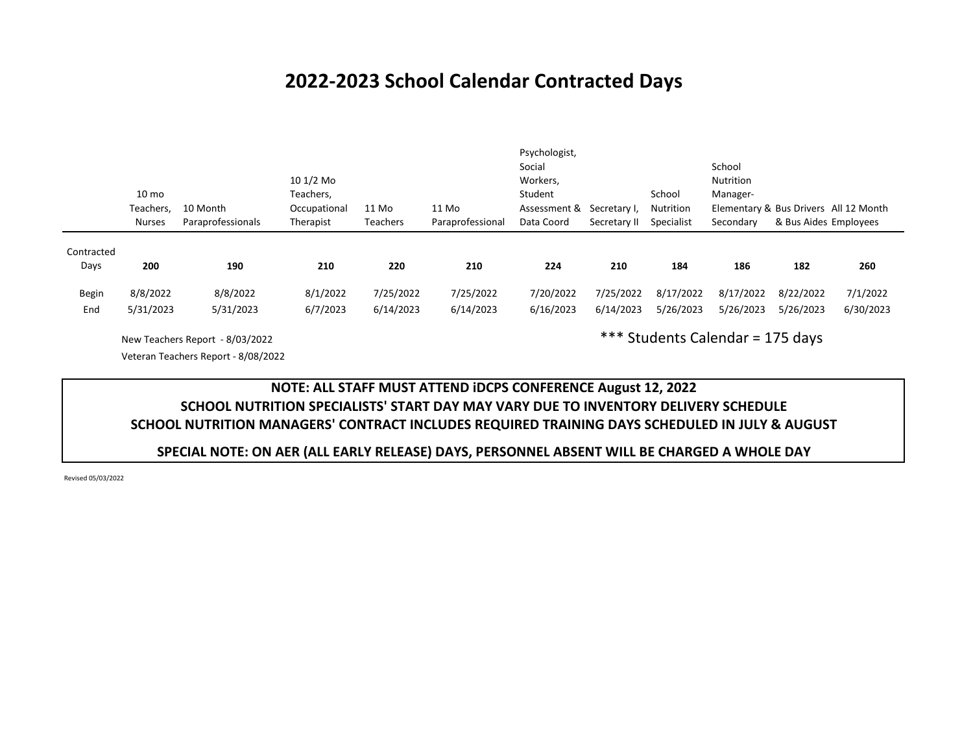# **2022-2023 School Calendar Contracted Days**

|            |                  |                   |              |           |                  | Psychologist, |              |            |                  |                                       |           |
|------------|------------------|-------------------|--------------|-----------|------------------|---------------|--------------|------------|------------------|---------------------------------------|-----------|
|            |                  |                   |              |           |                  | Social        |              |            | School           |                                       |           |
|            |                  |                   | 10 1/2 Mo    |           |                  | Workers,      |              |            | <b>Nutrition</b> |                                       |           |
|            | 10 <sub>mo</sub> |                   | Teachers,    |           |                  | Student       |              | School     | Manager-         |                                       |           |
|            | Teachers,        | 10 Month          | Occupational | 11 Mo     | 11 Mo            | Assessment &  | Secretary I, | Nutrition  |                  | Elementary & Bus Drivers All 12 Month |           |
|            | <b>Nurses</b>    | Paraprofessionals | Therapist    | Teachers  | Paraprofessional | Data Coord    | Secretary II | Specialist | Secondary        | & Bus Aides Employees                 |           |
|            |                  |                   |              |           |                  |               |              |            |                  |                                       |           |
| Contracted |                  |                   |              |           |                  |               |              |            |                  |                                       |           |
| Days       | 200              | 190               | 210          | 220       | 210              | 224           | 210          | 184        | 186              | 182                                   | 260       |
| Begin      | 8/8/2022         | 8/8/2022          | 8/1/2022     | 7/25/2022 | 7/25/2022        | 7/20/2022     | 7/25/2022    | 8/17/2022  | 8/17/2022        | 8/22/2022                             | 7/1/2022  |
| End        | 5/31/2023        | 5/31/2023         | 6/7/2023     | 6/14/2023 | 6/14/2023        | 6/16/2023     | 6/14/2023    | 5/26/2023  | 5/26/2023        | 5/26/2023                             | 6/30/2023 |

New Teachers Report - 8/03/2022 Veteran Teachers Report - 8/08/2022 \*\*\* Students Calendar = 175 days

## **NOTE: ALL STAFF MUST ATTEND iDCPS CONFERENCE August 12, 2022 SCHOOL NUTRITION SPECIALISTS' START DAY MAY VARY DUE TO INVENTORY DELIVERY SCHEDULE SCHOOL NUTRITION MANAGERS' CONTRACT INCLUDES REQUIRED TRAINING DAYS SCHEDULED IN JULY & AUGUST**

#### **SPECIAL NOTE: ON AER (ALL EARLY RELEASE) DAYS, PERSONNEL ABSENT WILL BE CHARGED A WHOLE DAY**

Revised 05/03/2022